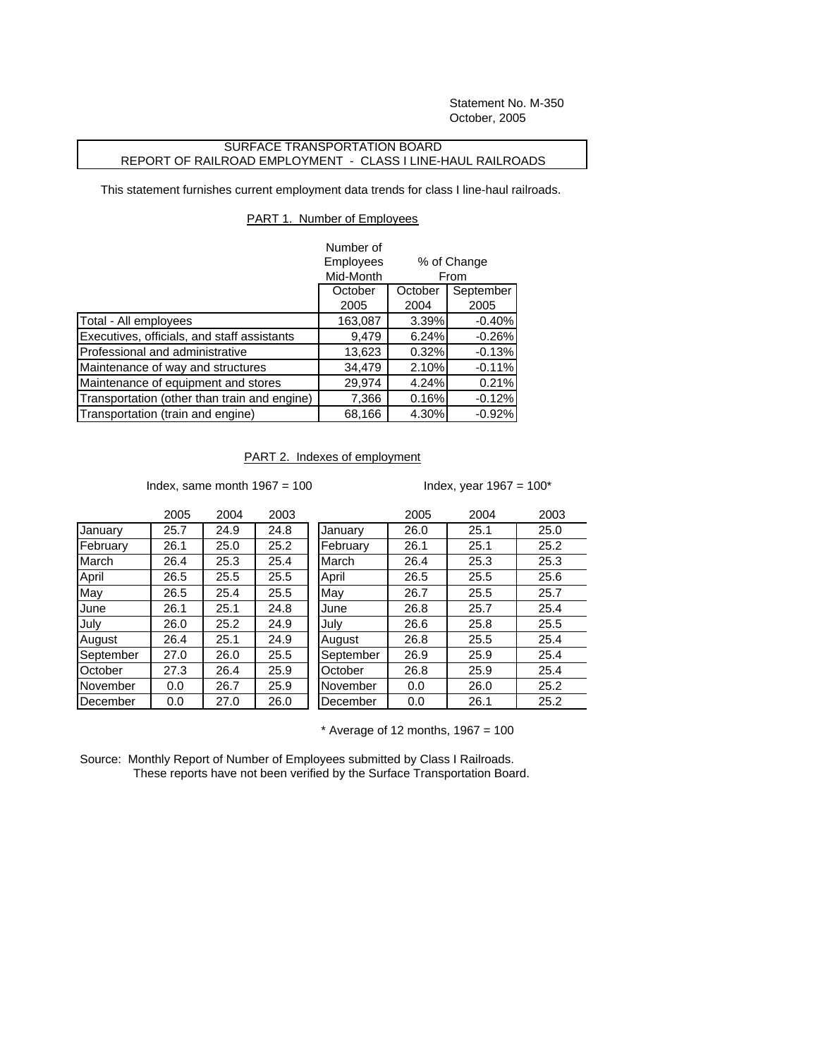Statement No. M-350 October, 2005

## SURFACE TRANSPORTATION BOARD REPORT OF RAILROAD EMPLOYMENT - CLASS I LINE-HAUL RAILROADS

This statement furnishes current employment data trends for class I line-haul railroads.

## PART 1. Number of Employees

|                                              | Number of          |                     |           |
|----------------------------------------------|--------------------|---------------------|-----------|
|                                              | Employees          | % of Change<br>From |           |
|                                              | Mid-Month          |                     |           |
|                                              | October<br>October |                     | September |
|                                              | 2005               | 2004                | 2005      |
| Total - All employees                        | 163,087            | 3.39%               | $-0.40%$  |
| Executives, officials, and staff assistants  | 9,479              | 6.24%               | $-0.26%$  |
| Professional and administrative              | 13,623             | 0.32%               | $-0.13%$  |
| Maintenance of way and structures            | 34,479             | 2.10%               | $-0.11%$  |
| Maintenance of equipment and stores          | 29,974             | 4.24%               | 0.21%     |
| Transportation (other than train and engine) | 7,366              | 0.16%               | $-0.12%$  |
| Transportation (train and engine)            | 68,166             | 4.30%               | $-0.92%$  |

## PART 2. Indexes of employment

Index, same month  $1967 = 100$  Index, year  $1967 = 100$ \*

|           | 2005 | 2004 | 2003 |
|-----------|------|------|------|
| January   | 25.7 | 24.9 | 24.8 |
| February  | 26.1 | 25.0 | 25.2 |
| March     | 26.4 | 25.3 | 25.4 |
| April     | 26.5 | 25.5 | 25.5 |
| May       | 26.5 | 25.4 | 25.5 |
| June      | 26.1 | 25.1 | 24.8 |
| July      | 26.0 | 25.2 | 24.9 |
| August    | 26.4 | 25.1 | 24.9 |
| September | 27.0 | 26.0 | 25.5 |
| October   | 27.3 | 26.4 | 25.9 |
| November  | 0.0  | 26.7 | 25.9 |
| December  | 0.0  | 27.0 | 26.0 |

|           | 2005 | 2004 | 2003 |           | 2005 | 2004 | 2003 |
|-----------|------|------|------|-----------|------|------|------|
| January   | 25.7 | 24.9 | 24.8 | January   | 26.0 | 25.1 | 25.0 |
| February  | 26.1 | 25.0 | 25.2 | February  | 26.1 | 25.1 | 25.2 |
| March     | 26.4 | 25.3 | 25.4 | March     | 26.4 | 25.3 | 25.3 |
| April     | 26.5 | 25.5 | 25.5 | April     | 26.5 | 25.5 | 25.6 |
| May       | 26.5 | 25.4 | 25.5 | May       | 26.7 | 25.5 | 25.7 |
| June      | 26.1 | 25.1 | 24.8 | June      | 26.8 | 25.7 | 25.4 |
| July      | 26.0 | 25.2 | 24.9 | July      | 26.6 | 25.8 | 25.5 |
| August    | 26.4 | 25.1 | 24.9 | August    | 26.8 | 25.5 | 25.4 |
| September | 27.0 | 26.0 | 25.5 | September | 26.9 | 25.9 | 25.4 |
| October   | 27.3 | 26.4 | 25.9 | October   | 26.8 | 25.9 | 25.4 |
| November  | 0.0  | 26.7 | 25.9 | November  | 0.0  | 26.0 | 25.2 |
| December  | 0.0  | 27.0 | 26.0 | December  | 0.0  | 26.1 | 25.2 |
|           |      |      |      |           |      |      |      |

 $*$  Average of 12 months, 1967 = 100

Source: Monthly Report of Number of Employees submitted by Class I Railroads. These reports have not been verified by the Surface Transportation Board.